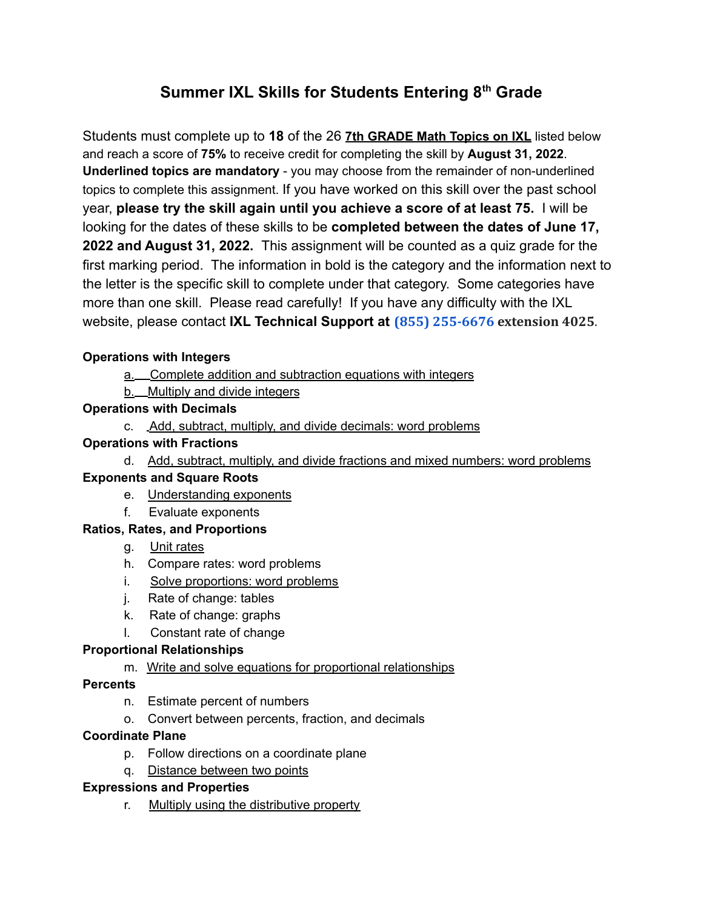# **Summer IXL Skills for Students Entering 8 th Grade**

Students must complete up to **18** of the 26 **7th GRADE Math Topics on IXL** listed below and reach a score of **75%** to receive credit for completing the skill by **August 31, 2022**. **Underlined topics are mandatory** - you may choose from the remainder of non-underlined topics to complete this assignment. If you have worked on this skill over the past school year, **please try the skill again until you achieve a score of at least 75.** I will be looking for the dates of these skills to be **completed between the dates of June 17, 2022 and August 31, 2022.** This assignment will be counted as a quiz grade for the first marking period. The information in bold is the category and the information next to the letter is the specific skill to complete under that category. Some categories have more than one skill. Please read carefully! If you have any difficulty with the IXL website, please contact **IXL Technical Support at (855) 255-6676 extension 4025**.

# **Operations with Integers**

- a. Complete addition and subtraction equations with integers
- b. Multiply and divide integers

#### **Operations with Decimals**

c. Add, subtract, multiply, and divide decimals: word problems

# **Operations with Fractions**

d. Add, subtract, multiply, and divide fractions and mixed numbers: word problems

#### **Exponents and Square Roots**

- e. Understanding exponents
- f. Evaluate exponents

# **Ratios, Rates, and Proportions**

- g. Unit rates
- h. Compare rates: word problems
- i. Solve proportions: word problems
- j. Rate of change: tables
- k. Rate of change: graphs
- l. Constant rate of change

# **Proportional Relationships**

m. Write and solve equations for proportional relationships

#### **Percents**

- n. Estimate percent of numbers
- o. Convert between percents, fraction, and decimals

#### **Coordinate Plane**

- p. Follow directions on a coordinate plane
- q. Distance between two points

#### **Expressions and Properties**

r. Multiply using the distributive property